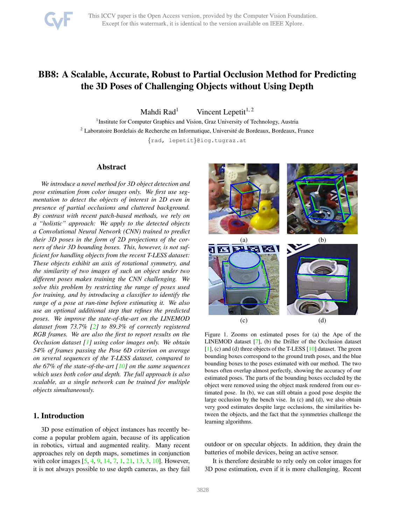# <span id="page-0-1"></span>BB8: A Scalable, Accurate, Robust to Partial Occlusion Method for Predicting the 3D Poses of Challenging Objects without Using Depth

Mahdi Rad<sup>1</sup> Vincent Lepetit<sup>1, 2</sup>

<sup>1</sup> Institute for Computer Graphics and Vision, Graz University of Technology, Austria  $2$  Laboratoire Bordelais de Recherche en Informatique, Université de Bordeaux, Bordeaux, France {rad, lepetit}@icg.tugraz.at

Abstract

*We introduce a novel method for 3D object detection and pose estimation from color images only. We first use segmentation to detect the objects of interest in 2D even in presence of partial occlusions and cluttered background. By contrast with recent patch-based methods, we rely on a "holistic" approach: We apply to the detected objects a Convolutional Neural Network (CNN) trained to predict their 3D poses in the form of 2D projections of the corners of their 3D bounding boxes. This, however, is not sufficient for handling objects from the recent T-LESS dataset: These objects exhibit an axis of rotational symmetry, and the similarity of two images of such an object under two different poses makes training the CNN challenging. We solve this problem by restricting the range of poses used for training, and by introducing a classifier to identify the range of a pose at run-time before estimating it. We also use an optional additional step that refines the predicted poses. We improve the state-of-the-art on the LINEMOD dataset from 73.7% [\[2\]](#page-8-0) to 89.3% of correctly registered RGB frames. We are also the first to report results on the Occlusion dataset [\[1\]](#page-8-1) using color images only. We obtain 54% of frames passing the Pose 6D criterion on average on several sequences of the T-LESS dataset, compared to the 67% of the state-of-the-art [\[10\]](#page-8-2) on the same sequences which uses both color and depth. The full approach is also scalable, as a single network can be trained for multiple objects simultaneously.*

# 1. Introduction

3D pose estimation of object instances has recently become a popular problem again, because of its application in robotics, virtual and augmented reality. Many recent approaches rely on depth maps, sometimes in conjunction with color images [\[5,](#page-8-3) [4,](#page-8-4) [9,](#page-8-5) [14,](#page-8-6) [7,](#page-8-7) [1,](#page-8-1) [21,](#page-8-8) [13,](#page-8-9) [3,](#page-8-10) [10\]](#page-8-2). However, it is not always possible to use depth cameras, as they fail



<span id="page-0-0"></span>Figure 1. Zooms on estimated poses for (a) the Ape of the LINEMOD dataset [\[7\]](#page-8-7), (b) the Driller of the Occlusion dataset [\[1\]](#page-8-1), (c) and (d) three objects of the T-LESS [\[10\]](#page-8-2) dataset. The green bounding boxes correspond to the ground truth poses, and the blue bounding boxes to the poses estimated with our method. The two boxes often overlap almost perfectly, showing the accuracy of our estimated poses. The parts of the bounding boxes occluded by the object were removed using the object mask rendered from our estimated pose. In (b), we can still obtain a good pose despite the large occlusion by the bench vise. In (c) and (d), we also obtain very good estimates despite large occlusions, the similarities between the objects, and the fact that the symmetries challenge the learning algorithms.

outdoor or on specular objects. In addition, they drain the batteries of mobile devices, being an active sensor.

It is therefore desirable to rely only on color images for 3D pose estimation, even if it is more challenging. Recent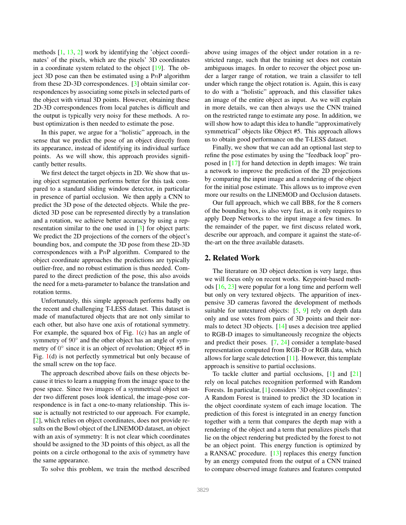<span id="page-1-0"></span>methods [\[1,](#page-8-1) [13,](#page-8-9) [2\]](#page-8-0) work by identifying the 'object coordinates' of the pixels, which are the pixels' 3D coordinates in a coordinate system related to the object [\[19\]](#page-8-11). The object 3D pose can then be estimated using a  $PnP$  algorithm from these 2D-3D correspondences. [\[3\]](#page-8-10) obtain similar correspondences by associating some pixels in selected parts of the object with virtual 3D points. However, obtaining these 2D-3D correspondences from local patches is difficult and the output is typically very noisy for these methods. A robust optimization is then needed to estimate the pose.

In this paper, we argue for a "holistic" approach, in the sense that we predict the pose of an object directly from its appearance, instead of identifying its individual surface points. As we will show, this approach provides significantly better results.

We first detect the target objects in 2D. We show that using object segmentation performs better for this task compared to a standard sliding window detector, in particular in presence of partial occlusion. We then apply a CNN to predict the 3D pose of the detected objects. While the predicted 3D pose can be represented directly by a translation and a rotation, we achieve better accuracy by using a representation similar to the one used in [\[3\]](#page-8-10) for object parts: We predict the 2D projections of the corners of the object's bounding box, and compute the 3D pose from these 2D-3D correspondences with a PnP algorithm. Compared to the object coordinate approaches the predictions are typically outlier-free, and no robust estimation is thus needed. Compared to the direct prediction of the pose, this also avoids the need for a meta-parameter to balance the translation and rotation terms.

Unfortunately, this simple approach performs badly on the recent and challenging T-LESS dataset. This dataset is made of manufactured objects that are not only similar to each other, but also have one axis of rotational symmetry. For example, the squared box of Fig.  $1(c)$  $1(c)$  has an angle of symmetry of 90° and the other object has an angle of symmetry of  $0^{\circ}$  since it is an object of revolution; Object #5 in Fig. [1\(](#page-0-0)d) is not perfectly symmetrical but only because of the small screw on the top face.

The approach described above fails on these objects because it tries to learn a mapping from the image space to the pose space. Since two images of a symmetrical object under two different poses look identical, the image-pose correspondence is in fact a one-to-many relationship. This issue is actually not restricted to our approach. For example, [\[2\]](#page-8-0), which relies on object coordinates, does not provide results on the Bowl object of the LINEMOD dataset, an object with an axis of symmetry: It is not clear which coordinates should be assigned to the 3D points of this object, as all the points on a circle orthogonal to the axis of symmetry have the same appearance.

To solve this problem, we train the method described

above using images of the object under rotation in a restricted range, such that the training set does not contain ambiguous images. In order to recover the object pose under a larger range of rotation, we train a classifer to tell under which range the object rotation is. Again, this is easy to do with a "holistic" approach, and this classifier takes an image of the entire object as input. As we will explain in more details, we can then always use the CNN trained on the restricted range to estimate any pose. In addition, we will show how to adapt this idea to handle "approximatively symmetrical" objects like Object #5. This approach allows us to obtain good performance on the T-LESS dataset.

Finally, we show that we can add an optional last step to refine the pose estimates by using the "feedback loop" proposed in [\[17\]](#page-8-12) for hand detection in depth images: We train a network to improve the prediction of the 2D projections by comparing the input image and a rendering of the object for the initial pose estimate. This allows us to improve even more our results on the LINEMOD and Occlusion datasets.

Our full approach, which we call BB8, for the 8 corners of the bounding box, is also very fast, as it only requires to apply Deep Networks to the input image a few times. In the remainder of the paper, we first discuss related work, describe our approach, and compare it against the state-ofthe-art on the three available datasets.

## 2. Related Work

The literature on 3D object detection is very large, thus we will focus only on recent works. Keypoint-based methods [\[16,](#page-8-13) [23\]](#page-8-14) were popular for a long time and perform well but only on very textured objects. The apparition of inexpensive 3D cameras favored the development of methods suitable for untextured objects: [\[5,](#page-8-3) [9\]](#page-8-5) rely on depth data only and use votes from pairs of 3D points and their normals to detect 3D objects. [\[14\]](#page-8-6) uses a decision tree applied to RGB-D images to simultaneously recognize the objects and predict their poses. [\[7,](#page-8-7) [24\]](#page-8-15) consider a template-based representation computed from RGB-D or RGB data, which allows for large scale detection [\[11\]](#page-8-16). However, this template approach is sensitive to partial occlusions.

To tackle clutter and partial occlusions, [\[1\]](#page-8-1) and [\[21\]](#page-8-8) rely on local patches recognition performed with Random Forests. In particular, [\[1\]](#page-8-1) considers '3D object coordinates': A Random Forest is trained to predict the 3D location in the object coordinate system of each image location. The prediction of this forest is integrated in an energy function together with a term that compares the depth map with a rendering of the object and a term that penalizes pixels that lie on the object rendering but predicted by the forest to not be an object point. This energy function is optimized by a RANSAC procedure. [\[13\]](#page-8-9) replaces this energy function by an energy computed from the output of a CNN trained to compare observed image features and features computed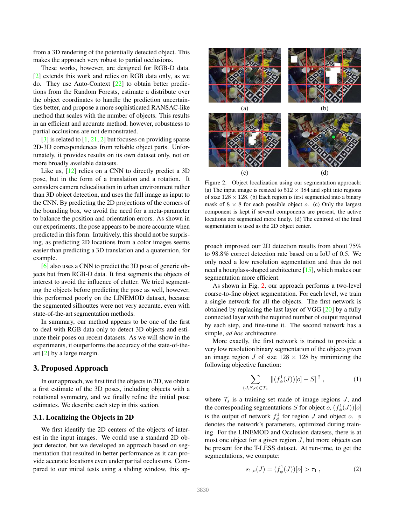<span id="page-2-3"></span>from a 3D rendering of the potentially detected object. This makes the approach very robust to partial occlusions.

These works, however, are designed for RGB-D data. [\[2\]](#page-8-0) extends this work and relies on RGB data only, as we do. They use Auto-Context [\[22\]](#page-8-17) to obtain better predictions from the Random Forests, estimate a distribute over the object coordinates to handle the prediction uncertainties better, and propose a more sophisticated RANSAC-like method that scales with the number of objects. This results in an efficient and accurate method, however, robustness to partial occlusions are not demonstrated.

 $[3]$  is related to  $[1, 21, 2]$  $[1, 21, 2]$  $[1, 21, 2]$  $[1, 21, 2]$  but focuses on providing sparse 2D-3D correspondences from reliable object parts. Unfortunately, it provides results on its own dataset only, not on more broadly available datasets.

Like us, [\[12\]](#page-8-18) relies on a CNN to directly predict a 3D pose, but in the form of a translation and a rotation. It considers camera relocalisation in urban environment rather than 3D object detection, and uses the full image as input to the CNN. By predicting the 2D projections of the corners of the bounding box, we avoid the need for a meta-parameter to balance the position and orientation errors. As shown in our experiments, the pose appears to be more accurate when predicted in this form. Intuitively, this should not be surprising, as predicting 2D locations from a color images seems easier than predicting a 3D translation and a quaternion, for example.

[\[6\]](#page-8-19) also uses a CNN to predict the 3D pose of generic objects but from RGB-D data. It first segments the objects of interest to avoid the influence of clutter. We tried segmenting the objects before predicting the pose as well, however, this performed poorly on the LINEMOD dataset, because the segmented silhouttes were not very accurate, even with state-of-the-art segmentation methods.

In summary, our method appears to be one of the first to deal with RGB data only to detect 3D objects and estimate their poses on recent datasets. As we will show in the experiments, it outperforms the accuracy of the state-of-theart [\[2\]](#page-8-0) by a large margin.

## 3. Proposed Approach

In our approach, we first find the objects in 2D, we obtain a first estimate of the 3D poses, including objects with a rotational symmetry, and we finally refine the initial pose estimates. We describe each step in this section.

### <span id="page-2-2"></span>3.1. Localizing the Objects in 2D

We first identify the 2D centers of the objects of interest in the input images. We could use a standard 2D object detector, but we developed an approach based on segmentation that resulted in better performance as it can provide accurate locations even under partial occlusions. Compared to our initial tests using a sliding window, this ap-



<span id="page-2-0"></span>Figure 2. Object localization using our segmentation approach: (a) The input image is resized to  $512 \times 384$  and split into regions of size  $128 \times 128$ . (b) Each region is first segmented into a binary mask of  $8 \times 8$  for each possible object o. (c) Only the largest component is kept if several components are present, the active locations are segmented more finely. (d) The centroid of the final segmentation is used as the 2D object center.

proach improved our 2D detection results from about 75% to 98.8% correct detection rate based on a IoU of 0.5. We only need a low resolution segmentation and thus do not need a hourglass-shaped architecture [\[15\]](#page-8-20), which makes our segmentation more efficient.

As shown in Fig. [2,](#page-2-0) our approach performs a two-level coarse-to-fine object segmentation. For each level, we train a single network for all the objects. The first network is obtained by replacing the last layer of VGG [\[20\]](#page-8-21) by a fully connected layer with the required number of output required by each step, and fine-tune it. The second network has a simple, *ad hoc* architecture.

More exactly, the first network is trained to provide a very low resolution binary segmentation of the objects given an image region J of size  $128 \times 128$  by minimizing the following objective function:

$$
\sum_{(J,S,o)\in\mathcal{T}_s} \|(f^1_{\phi}(J))[o]-S\|^2, \tag{1}
$$

where  $\mathcal{T}_s$  is a training set made of image regions  $J$ , and the corresponding segmentations S for object o,  $(f_{\phi}^1(J))[o]$ is the output of network  $f^1_{\phi}$  for region J and object o.  $\phi$ denotes the network's parameters, optimized during training. For the LINEMOD and Occlusion datasets, there is at most one object for a given region  $J$ , but more objects can be present for the T-LESS dataset. At run-time, to get the segmentations, we compute:

<span id="page-2-1"></span>
$$
s_{1,o}(J) = (f_{\phi}^1(J))[o] > \tau_1 , \qquad (2)
$$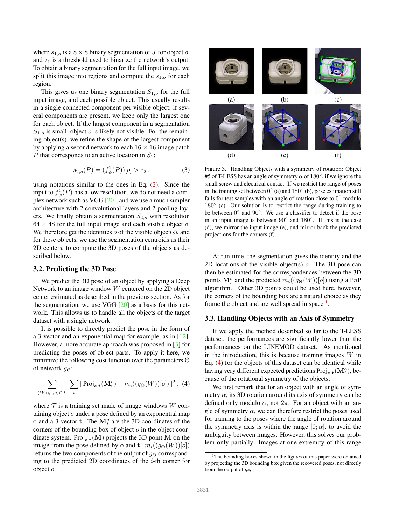<span id="page-3-3"></span>where  $s_{1,o}$  is a  $8 \times 8$  binary segmentation of J for object o, and  $\tau_1$  is a threshold used to binarize the network's output. To obtain a binary segmentation for the full input image, we split this image into regions and compute the  $s_{1,o}$  for each region.

This gives us one binary segmentation  $S_{1,o}$  for the full input image, and each possible object. This usually results in a single connected component per visible object; if several components are present, we keep only the largest one for each object. If the largest component in a segmentation  $S_{1,o}$  is small, object *o* is likely not visible. For the remaining object(s), we refine the shape of the largest component by applying a second network to each  $16 \times 16$  image patch P that corresponds to an active location in  $S_1$ :

$$
s_{2,o}(P) = (f_{\psi}^2(P))[o] > \tau_2 , \qquad (3)
$$

using notations similar to the ones in Eq. [\(2\)](#page-2-1). Since the input to  $f^2_\psi(P)$  has a low resolution, we do not need a complex network such as VGG [\[20\]](#page-8-21), and we use a much simpler architecture with 2 convolutional layers and 2 pooling layers. We finally obtain a segmentation  $S_{2,o}$  with resolution  $64 \times 48$  for the full input image and each visible object o. We therefore get the identities  $o$  of the visible object(s), and for these objects, we use the segmentation centroids as their 2D centers, to compute the 3D poses of the objects as described below.

## 3.2. Predicting the 3D Pose

We predict the 3D pose of an object by applying a Deep Network to an image window W centered on the 2D object center estimated as described in the previous section. As for the segmentation, we use VGG  $[20]$  as a basis for this network. This allows us to handle all the objects of the target dataset with a single network.

It is possible to directly predict the pose in the form of a 3-vector and an exponential map for example, as in [\[12\]](#page-8-18). However, a more accurate approach was proposed in [\[3\]](#page-8-10) for predicting the poses of object parts. To apply it here, we minimize the following cost function over the parameters Θ of network  $g_{\Theta}$ :

<span id="page-3-1"></span>
$$
\sum_{(W,\mathbf{e},\mathbf{t},o)\in\mathcal{T}}\sum_{i} \|\text{Proj}_{\mathbf{e},\mathbf{t}}(\mathbf{M}_i^o) - m_i((g_{\Theta}(W))[o])\|^2 \,,\tag{4}
$$

where  $\mathcal T$  is a training set made of image windows W containing object  $o$  under a pose defined by an exponential map e and a 3-vector t. The  $M_i^o$  are the 3D coordinates of the corners of the bounding box of object  $o$  in the object coordinate system. Proj<sub>e,t</sub>  $(M)$  projects the 3D point M on the image from the pose defined by e and t.  $m_i((g_{\Theta}(W))[o])$ returns the two components of the output of  $g_{\Theta}$  corresponding to the predicted 2D coordinates of the  $i$ -th corner for object o.



<span id="page-3-2"></span>Figure 3. Handling Objects with a symmetry of rotation: Object #5 of T-LESS has an angle of symmetry  $\alpha$  of 180 $^{\circ}$ , if we ignore the small screw and electrical contact. If we restrict the range of poses in the training set between  $0^{\circ}$  (a) and  $180^{\circ}$  (b), pose estimation still fails for test samples with an angle of rotation close to  $0^{\circ}$  modulo 180<sup>°</sup> (c). Our solution is to restrict the range during training to be between  $0^\circ$  and  $90^\circ$ . We use a classifier to detect if the pose in an input image is between  $90^\circ$  and  $180^\circ$ . If this is the case (d), we mirror the input image (e), and mirror back the predicted projections for the corners (f).

At run-time, the segmentation gives the identity and the 2D locations of the visible object(s) o. The 3D pose can then be estimated for the correspondences between the 3D points  $\mathbf{M}_i^o$  and the predicted  $m_i((g_{\Theta}(W))[o])$  using a PnP algorithm. Other 3D points could be used here, however, the corners of the bounding box are a natural choice as they frame the object and are well spread in space  $<sup>1</sup>$  $<sup>1</sup>$  $<sup>1</sup>$ .</sup>

## 3.3. Handling Objects with an Axis of Symmetry

If we apply the method described so far to the T-LESS dataset, the performances are significantly lower than the performances on the LINEMOD dataset. As mentioned in the introduction, this is because training images  $W$  in Eq. [\(4\)](#page-3-1) for the objects of this dataset can be identical while having very different expected predictions  $\text{Proj}_{e,t}(\mathbf{M}_i^o)$ , because of the rotational symmetry of the objects.

We first remark that for an object with an angle of symmetry  $\alpha$ , its 3D rotation around its axis of symmetry can be defined only modulo  $\alpha$ , not  $2\pi$ . For an object with an angle of symmetry  $\alpha$ , we can therefore restrict the poses used for training to the poses where the angle of rotation around the symmetry axis is within the range  $[0; \alpha]$ , to avoid the ambiguity between images. However, this solves our problem only partially: Images at one extremity of this range

<span id="page-3-0"></span><sup>&</sup>lt;sup>1</sup>The bounding boxes shown in the figures of this paper were obtained by projecting the 3D bounding box given the recovered poses, not directly from the output of  $g_{\Theta}$ .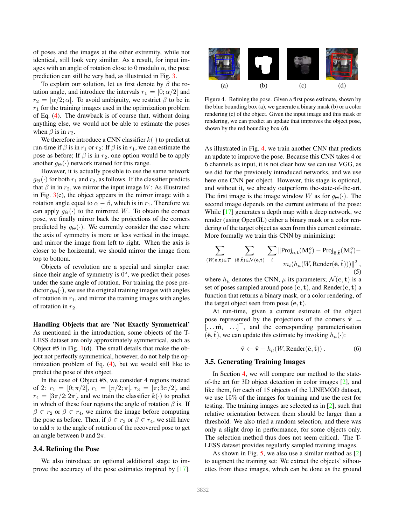<span id="page-4-2"></span>of poses and the images at the other extremity, while not identical, still look very similar. As a result, for input images with an angle of rotation close to 0 modulo  $\alpha$ , the pose prediction can still be very bad, as illustrated in Fig. [3.](#page-3-2)

To explain our solution, let us first denote by  $\beta$  the rotation angle, and introduce the intervals  $r_1 = [0; \alpha/2]$  and  $r_2 = [\alpha/2; \alpha]$ . To avoid ambiguity, we restrict  $\beta$  to be in  $r_1$  for the training images used in the optimization problem of Eq. [\(4\)](#page-3-1). The drawback is of course that, without doing anything else, we would not be able to estimate the poses when  $\beta$  is in  $r_2$ .

We therefore introduce a CNN classifier  $k(\cdot)$  to predict at run-time if  $\beta$  is in  $r_1$  or  $r_2$ : If  $\beta$  is in  $r_1$ , we can estimate the pose as before; If  $\beta$  is in  $r_2$ , one option would be to apply another  $g_{\Theta}(\cdot)$  network trained for this range.

However, it is actually possible to use the same network  $g_{\Theta}(\cdot)$  for both  $r_1$  and  $r_2$ , as follows. If the classifier predicts that  $\beta$  in in  $r_2$ , we mirror the input image W: As illustrated in Fig.  $3(e)$  $3(e)$ , the object appears in the mirror image with a rotation angle equal to  $\alpha - \beta$ , which is in  $r_1$ . Therefore we can apply  $g_{\Theta}(\cdot)$  to the mirrored W. To obtain the correct pose, we finally mirror back the projections of the corners predicted by  $g_{\Theta}(\cdot)$ . We currently consider the case where the axis of symmetry is more or less vertical in the image, and mirror the image from left to right. When the axis is closer to be horizontal, we should mirror the image from top to bottom.

Objects of revolution are a special and simpler case: since their angle of symmetry is  $0^\circ$ , we predict their poses under the same angle of rotation. For training the pose predictor  $q_{\Theta}(\cdot)$ , we use the original training images with angles of rotation in  $r_1$ , and mirror the training images with angles of rotation in  $r_2$ .

Handling Objects that are 'Not Exactly Symmetrical' As mentioned in the introduction, some objects of the T-LESS dataset are only approximately symmetrical, such as Object #5 in Fig. [1\(](#page-0-0)d). The small details that make the object not perfectly symmetrical, however, do not help the optimization problem of Eq. [\(4\)](#page-3-1), but we would still like to predict the pose of this object.

In the case of Object #5, we consider 4 regions instead of 2:  $r_1 = [0; \pi/2], r_1 = [\pi/2; \pi], r_3 = [\pi; 3\pi/2],$  and  $r_4 = \left[\frac{3\pi}{2}; \frac{2\pi}{\pi}\right]$ , and we train the classifier  $k(\cdot)$  to predict in which of these four regions the angle of rotation  $\beta$  is. If  $\beta \in r_2$  or  $\beta \in r_4$ , we mirror the image before computing the pose as before. Then, if  $\beta \in r_3$  or  $\beta \in r_4$ , we still have to add  $\pi$  to the angle of rotation of the recovered pose to get an angle between 0 and  $2\pi$ .

#### 3.4. Refining the Pose

We also introduce an optional additional stage to improve the accuracy of the pose estimates inspired by [\[17\]](#page-8-12).



<span id="page-4-0"></span>Figure 4. Refining the pose. Given a first pose estimate, shown by the blue bounding box (a), we generate a binary mask (b) or a color rendering (c) of the object. Given the input image and this mask or rendering, we can predict an update that improves the object pose, shown by the red bounding box (d).

As illustrated in Fig. [4,](#page-4-0) we train another CNN that predicts an update to improve the pose. Because this CNN takes 4 or 6 channels as input, it is not clear how we can use VGG, as we did for the previously introduced networks, and we use here one CNN per object. However, this stage is optional, and without it, we already outperform the-state-of-the-art. The first image is the image window W as for  $g_{\Theta}(\cdot)$ . The second image depends on the current estimate of the pose: While [\[17\]](#page-8-12) generates a depth map with a deep network, we render (using OpenGL) either a binary mask or a color rendering of the target object as seen from this current estimate. More formally we train this CNN by minimizing:

$$
\sum_{(W,\mathbf{e},\mathbf{t})\in\mathcal{T}}\;\sum_{(\hat{\mathbf{e}},\hat{\mathbf{t}})\in\mathcal{N}(\mathbf{e},\mathbf{t})}\;\sum_i \|\text{Proj}_{\mathbf{e},\mathbf{t}}(\mathbf{M}_i^o)-\text{Proj}_{\hat{\mathbf{e}},\hat{\mathbf{t}}}(\mathbf{M}_i^o)-\\\quad m_i(h_\mu(W,\text{Render}(\hat{\mathbf{e}},\hat{\mathbf{t}})))\|^2\,,
$$
(5)

where  $h_{\mu}$  denotes the CNN,  $\mu$  its parameters;  $\mathcal{N}(\mathbf{e}, \mathbf{t})$  is a set of poses sampled around pose  $(e, t)$ , and Render $(e, t)$  a function that returns a binary mask, or a color rendering, of the target object seen from pose  $(e, t)$ .

At run-time, given a current estimate of the object pose represented by the projections of the corners  $\hat{v}$  =  $[\dots \hat{m_i}^\dagger \dots]^\top$ , and the corresponding parameterisation  $(\hat{\mathbf{e}}, \hat{\mathbf{t}})$ , we can update this estimate by invoking  $h_{\mu}(\cdot)$ :

$$
\hat{\mathbf{v}} \leftarrow \hat{\mathbf{v}} + h_{\mu}(W, \text{Render}(\hat{\mathbf{e}}, \hat{\mathbf{t}}))\,. \tag{6}
$$

#### <span id="page-4-1"></span>3.5. Generating Training Images

In Section [4,](#page-5-0) we will compare our method to the stateof-the art for 3D object detection in color images [\[2\]](#page-8-0), and like them, for each of 15 objects of the LINEMOD dataset, we use 15% of the images for training and use the rest for testing. The training images are selected as in [\[2\]](#page-8-0), such that relative orientation between them should be larger than a threshold. We also tried a random selection, and there was only a slight drop in performance, for some objects only. The selection method thus does not seem critical. The T-LESS dataset provides regularly sampled training images.

As shown in Fig. [5,](#page-5-1) we also use a similar method as  $[2]$ to augment the training set: We extract the objects' silhouettes from these images, which can be done as the ground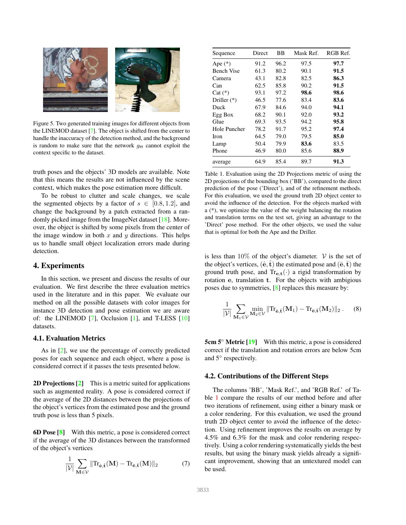<span id="page-5-3"></span>

<span id="page-5-1"></span>Figure 5. Two generated training images for different objects from the LINEMOD dataset [\[7\]](#page-8-7). The object is shifted from the center to handle the inaccuracy of the detection method, and the background is random to make sure that the network  $g_{\Theta}$  cannot exploit the context specific to the dataset.

truth poses and the objects' 3D models are available. Note that this means the results are not influenced by the scene context, which makes the pose estimation more difficult.

To be robust to clutter and scale changes, we scale the segmented objects by a factor of  $s \in [0.8, 1.2]$ , and change the background by a patch extracted from a randomly picked image from the ImageNet dataset [\[18\]](#page-8-22). Moreover, the object is shifted by some pixels from the center of the image window in both  $x$  and  $y$  directions. This helps us to handle small object localization errors made during detection.

## <span id="page-5-0"></span>4. Experiments

In this section, we present and discuss the results of our evaluation. We first describe the three evaluation metrics used in the literature and in this paper. We evaluate our method on all the possible datasets with color images for instance 3D detection and pose estimation we are aware of: the LINEMOD  $[7]$ , Occlusion  $[1]$ , and T-LESS  $[10]$ datasets.

## 4.1. Evaluation Metrics

As in [\[2\]](#page-8-0), we use the percentage of correctly predicted poses for each sequence and each object, where a pose is considered correct if it passes the tests presented below.

2D Projections [\[2\]](#page-8-0) This is a metric suited for applications such as augmented reality. A pose is considered correct if the average of the 2D distances between the projections of the object's vertices from the estimated pose and the ground truth pose is less than 5 pixels.

6D Pose [\[8\]](#page-8-23) With this metric, a pose is considered correct if the average of the 3D distances between the transformed of the object's vertices

$$
\frac{1}{|\mathcal{V}|} \sum_{\mathbf{M} \in \mathcal{V}} || \text{Tr}_{\hat{\mathbf{e}}, \hat{\mathbf{t}}}(\mathbf{M}) - \text{Tr}_{\bar{\mathbf{e}}, \bar{\mathbf{t}}}(\mathbf{M}) ||_2 \tag{7}
$$

| Sequence          | Direct | BB   | Mask Ref. | RGB Ref. |
|-------------------|--------|------|-----------|----------|
| Ape $(*)$         | 91.2   | 96.2 | 97.5      | 97.7     |
| <b>Bench Vise</b> | 61.3   | 80.2 | 90.1      | 91.5     |
| Camera            | 43.1   | 82.8 | 82.5      | 86.3     |
| Can               | 62.5   | 85.8 | 90.2      | 91.5     |
| $Cat (*)$         | 93.1   | 97.2 | 98.6      | 98.6     |
| Driller $(*)$     | 46.5   | 77.6 | 83.4      | 83.6     |
| Duck              | 67.9   | 84.6 | 94.0      | 94.1     |
| Egg Box           | 68.2   | 90.1 | 92.0      | 93.2     |
| Glue              | 69.3   | 93.5 | 94.2      | 95.8     |
| Hole Puncher      | 78.2   | 91.7 | 95.2      | 97.4     |
| <b>Iron</b>       | 64.5   | 79.0 | 79.5      | 85.0     |
| Lamp              | 50.4   | 79.9 | 83.6      | 83.5     |
| Phone             | 46.9   | 80.0 | 85.6      | 88.9     |
| average           | 64.9   | 85.4 | 89.7      | 91.3     |

<span id="page-5-2"></span>Table 1. Evaluation using the 2D Projections metric of using the 2D projections of the bounding box ('BB'), compared to the direct prediction of the pose ('Direct'), and of the refinement methods. For this evaluation, we used the ground truth 2D object center to avoid the influence of the detection. For the objects marked with a (\*), we optimize the value of the weight balancing the rotation and translation terms on the test set, giving an advantage to the 'Direct' pose method. For the other objects, we used the value that is optimal for both the Ape and the Driller.

is less than  $10\%$  of the object's diameter. V is the set of the object's vertices,  $(\hat{\mathbf{e}}, \hat{\mathbf{t}})$  the estimated pose and  $(\bar{\mathbf{e}}, \bar{\mathbf{t}})$  the ground truth pose, and  $Tr_{e,t}(\cdot)$  a rigid transformation by rotation e, translation t. For the objects with ambigious poses due to symmetries, [\[8\]](#page-8-23) replaces this measure by:

$$
\frac{1}{|\mathcal{V}|}\sum_{\mathbf{M}_1\in \mathcal{V}}\min_{\mathbf{M}_2\in \mathcal{V}}\|\text{Tr}_{\hat{\mathbf{e}},\hat{\mathbf{t}}}(\mathbf{M}_1)-\text{Tr}_{\bar{\mathbf{e}},\bar{\mathbf{t}}}(\mathbf{M}_2)\|_2\;.\qquad (8)
$$

5cm 5<sup>°</sup> Metric [\[19\]](#page-8-11) With this metric, a pose is considered correct if the translation and rotation errors are below 5cm and 5◦ respectively.

#### 4.2. Contributions of the Different Steps

The columns 'BB', 'Mask Ref.', and 'RGB Ref.' of Table [1](#page-5-2) compare the results of our method before and after two iterations of refinement, using either a binary mask or a color rendering. For this evaluation, we used the ground truth 2D object center to avoid the influence of the detection. Using refinement improves the results on average by 4.5% and 6.3% for the mask and color rendering respectively. Using a color rendering systematically yields the best results, but using the binary mask yields already a significant improvement, showing that an untextured model can be used.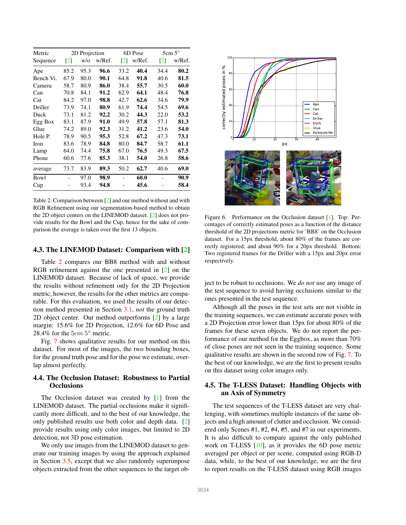<span id="page-6-1"></span>

| Metric    |                   | 2D Projection |        |                   | 6D Pose |                   | $5cm\,5^{\circ}$ |
|-----------|-------------------|---------------|--------|-------------------|---------|-------------------|------------------|
| Sequence  | $\lceil 2 \rceil$ | w/o           | w/Ref. | $\lceil 2 \rceil$ | w/Ref.  | $\lceil 2 \rceil$ | w/Ref.           |
| Ape       | 85.2              | 95.3          | 96.6   | 33.2              | 40.4    | 34.4              | 80.2             |
| Bench Vi. | 67.9              | 80.0          | 90.1   | 64.8              | 91.8    | 40.6              | 81.5             |
| Camera    | 58.7              | 80.9          | 86.0   | 38.4              | 55.7    | 30.5              | 60.0             |
| Can       | 70.8              | 84.1          | 91.2   | 62.9              | 64.1    | 48.4              | 76.8             |
| Cat       | 84.2              | 97.0          | 98.8   | 42.7              | 62.6    | 34.6              | 79.9             |
| Driller   | 73.9              | 74.1          | 80.9   | 61.9              | 74.4    | 54.5              | 69.6             |
| Duck      | 73.1              | 81.2          | 92.2   | 30.2              | 44.3    | 22.0              | 53.2             |
| Egg Box   | 83.1              | 87.9          | 91.0   | 49.9              | 57.8    | 57.1              | 81.3             |
| Glue      | 74.2              | 89.0          | 92.3   | 31.2              | 41.2    | 23.6              | 54.0             |
| Hole P.   | 78.9              | 90.5          | 95.3   | 52.8              | 67.2    | 47.3              | 73.1             |
| Iron      | 83.6              | 78.9          | 84.8   | 80.0              | 84.7    | 58.7              | 61.1             |
| Lamp      | 64.0              | 74.4          | 75.8   | 67.0              | 76.5    | 49.3              | 67.5             |
| Phone     | 60.6              | 77.6          | 85.3   | 38.1              | 54.0    | 26.8              | 58.6             |
| average   | 73.7              | 83.9          | 89.3   | 50.2              | 62.7    | 40.6              | 69.0             |
| Bowl      |                   | 97.0          | 98.9   |                   | 60.0    |                   | 90.9             |
| Cup       |                   | 93.4          | 94.8   |                   | 45.6    |                   | 58.4             |

<span id="page-6-0"></span>Table 2. Comparison between [\[2\]](#page-8-0) and our method without and with RGB Refinement using our segmentation-based method to obtain the 2D object centers on the LINEMOD dataset. [\[2\]](#page-8-0) does not provide results for the Bowl and the Cup, hence for the sake of comparison the average is taken over the first 13 objects.

#### 4.3. The LINEMOD Dataset: Comparison with [\[2\]](#page-8-0)

Table [2](#page-6-0) compares our BB8 method with and without RGB refinement against the one presented in [\[2\]](#page-8-0) on the LINEMOD dataset. Because of lack of space, we provide the results without refinement only for the 2D Projection metric, however, the results for the other metrics are comparable. For this evaluation, we used the results of our detection method presented in Section [3.1,](#page-2-2) *not* the ground truth 2D object center. Our method outperforms [\[2\]](#page-8-0) by a large margin: 15.6% for 2D Projection, 12.6% for 6D Pose and 28.4% for the  $5cm\,5^{\circ}$  metric.

Fig. [7](#page-7-0) shows qualitative results for our method on this dataset. For most of the images, the two bounding boxes, for the ground truth pose and for the pose we estimate, overlap almost perfectly.

## 4.4. The Occlusion Dataset: Robustness to Partial **Occlusions**

The Occlusion dataset was created by [\[1\]](#page-8-1) from the LINEMOD dataset. The partial occlusions make it significantly more difficult, and to the best of our knowledge, the only published results use both color and depth data. [\[2\]](#page-8-0) provide results using only color images, but limited to 2D detection, not 3D pose estimation.

We only use images from the LINEMOD dataset to generate our training images by using the approach explained in Section [3.5,](#page-4-1) except that we also randomly superimpose objects extracted from the other sequences to the target ob-



Figure 6. Performance on the Occlusion dataset [\[1\]](#page-8-1). Top: Percentages of correctly estimated poses as a function of the distance threshold of the 2D projections metric for 'BB8' on the Occlusion dataset. For a 15px threshold, about 80% of the frames are correctly registered, and about 90% for a 20px threshold. Bottom: Two registered frames for the Driller with a 15px and 20px error respectively.

ject to be robust to occlusions. We *do not* use any image of the test sequence to avoid having occlusions similar to the ones presented in the test sequence.

Although all the poses in the test sets are not visible in the training sequences, we can estimate accurate poses with a 2D Projection error lower than 15px for about 80% of the frames for these seven objects. We do not report the performance of our method for the Eggbox, as more than 70% of close poses are not seen in the training sequence. Some qualitative results are shown in the second row of Fig. [7.](#page-7-0) To the best of our knowledge, we are the first to present results on this dataset using color images only.

## 4.5. The T-LESS Dataset: Handling Objects with an Axis of Symmetry

The test sequences of the T-LESS dataset are very challenging, with sometimes multiple instances of the same objects and a high amount of clutter and occlusion. We considered only Scenes #1, #2, #4, #5, and #7 in our experiments. It is also difficult to compare against the only published work on T-LESS [\[10\]](#page-8-2), as it provides the 6D pose metric averaged per object or per scene, computed using RGB-D data, while, to the best of our knowledge, we are the first to report results on the T-LESS dataset using RGB images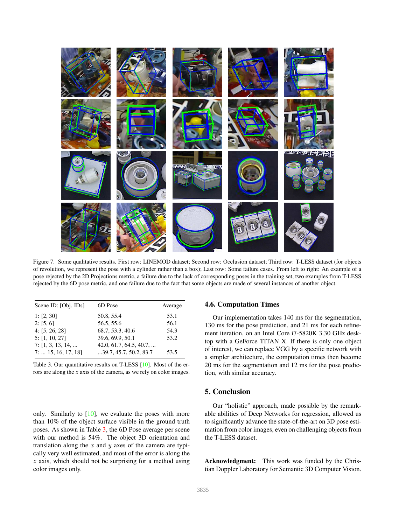<span id="page-7-2"></span>

Figure 7. Some qualitative results. First row: LINEMOD dataset; Second row: Occlusion dataset; Third row: T-LESS dataset (for objects of revolution, we represent the pose with a cylinder rather than a box); Last row: Some failure cases. From left to right: An example of a pose rejected by the 2D Projections metric, a failure due to the lack of corresponding poses in the training set, two examples from T-LESS rejected by the 6D pose metric, and one failure due to the fact that some objects are made of several instances of another object.

<span id="page-7-0"></span>

| Scene ID: [Obj. IDs]        | 6D Pose                 | Average |
|-----------------------------|-------------------------|---------|
| 1: $[2, 30]$                | 50.8, 55.4              | 53.1    |
| 2: [5, 6]                   | 56.5, 55.6              | 56.1    |
| 4: [5, 26, 28]              | 68.7, 53.3, 40.6        | 54.3    |
| 5: [1, 10, 27]              | 39.6, 69.9, 50.1        | 53.2    |
| $7: [1, 3, 13, 14, \dots]$  | 42.0, 61.7, 64.5, 40.7, |         |
| $7: \ldots$ 15, 16, 17, 18] | 39.7, 45.7, 50.2, 83.7  | 53.5    |

<span id="page-7-1"></span>Table 3. Our quantitative results on T-LESS [\[10\]](#page-8-2). Most of the errors are along the z axis of the camera, as we rely on color images.

only. Similarly to  $[10]$ , we evaluate the poses with more than 10% of the object surface visible in the ground truth poses. As shown in Table [3,](#page-7-1) the 6D Pose average per scene with our method is 54%. The object 3D orientation and translation along the  $x$  and  $y$  axes of the camera are typically very well estimated, and most of the error is along the  $z$  axis, which should not be surprising for a method using color images only.

## 4.6. Computation Times

Our implementation takes 140 ms for the segmentation, 130 ms for the pose prediction, and 21 ms for each refinement iteration, on an Intel Core i7-5820K 3.30 GHz desktop with a GeForce TITAN X. If there is only one object of interest, we can replace VGG by a specific network with a simpler architecture, the computation times then become 20 ms for the segmentation and 12 ms for the pose prediction, with similar accuracy.

## 5. Conclusion

Our "holistic" approach, made possible by the remarkable abilities of Deep Networks for regression, allowed us to significantly advance the state-of-the-art on 3D pose estimation from color images, even on challenging objects from the T-LESS dataset.

Acknowledgment: This work was funded by the Christian Doppler Laboratory for Semantic 3D Computer Vision.